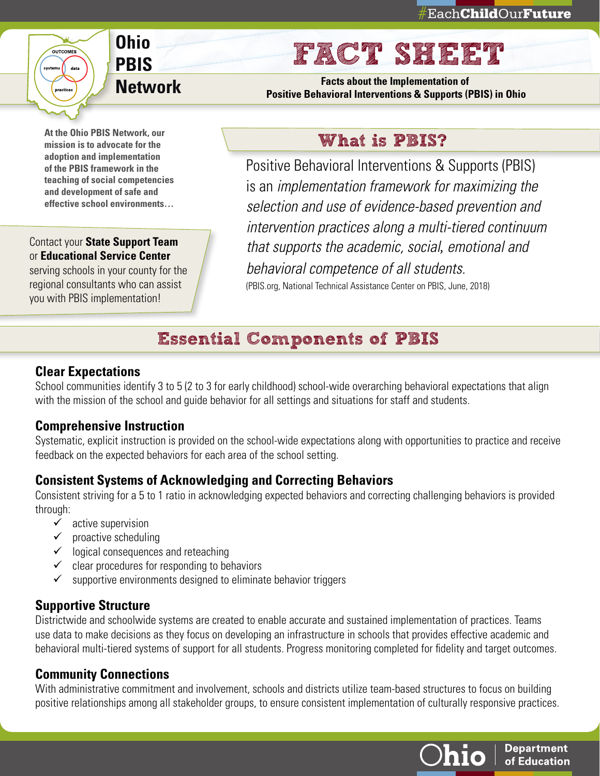# **Ohio PBIS Network**

**At the Ohio PBIS Network, our mission is to advocate for the adoption and implementation of the PBIS framework in the teaching of social competencies and development of safe and effective school environments…** 

OUTCOME

data

systems

#### Contact your **State Support Team** or **Educational Service Center**

serving schools in your county for the regional consultants who can assist you with PBIS implementation!

# FACT SHEET

**Facts about the Implementation of Positive Behavioral Interventions & Supports (PBIS) in Ohio** 

### What is PBIS?

Positive Behavioral Interventions & Supports (PBIS) is an *implementation framework for maximizing the selection and use of evidence-based prevention and intervention practices along a multi-tiered continuum that supports the academic, social, emotional and behavioral competence of all students.*

(PBIS.org, National Technical Assistance Center on PBIS, June, 2018)

# Essential Components of PBIS

#### **Clear Expectations**

School communities identify 3 to 5 (2 to 3 for early childhood) school-wide overarching behavioral expectations that align with the mission of the school and guide behavior for all settings and situations for staff and students.

### **Comprehensive Instruction**

Systematic, explicit instruction is provided on the school-wide expectations along with opportunities to practice and receive feedback on the expected behaviors for each area of the school setting.

### **Consistent Systems of Acknowledging and Correcting Behaviors**

Consistent striving for a 5 to 1 ratio in acknowledging expected behaviors and correcting challenging behaviors is provided through:

- $\checkmark$  active supervision
- $\checkmark$  proactive scheduling
- $\checkmark$  logical consequences and reteaching
- $\checkmark$  clear procedures for responding to behaviors
- $\checkmark$  supportive environments designed to eliminate behavior triggers

### **Supportive Structure**

Districtwide and schoolwide systems are created to enable accurate and sustained implementation of practices. Teams use data to make decisions as they focus on developing an infrastructure in schools that provides effective academic and behavioral multi-tiered systems of support for all students. Progress monitoring completed for fidelity and target outcomes.

### **Community Connections**

With administrative commitment and involvement, schools and districts utilize team-based structures to focus on building positive relationships among all stakeholder groups, to ensure consistent implementation of culturally responsive practices.